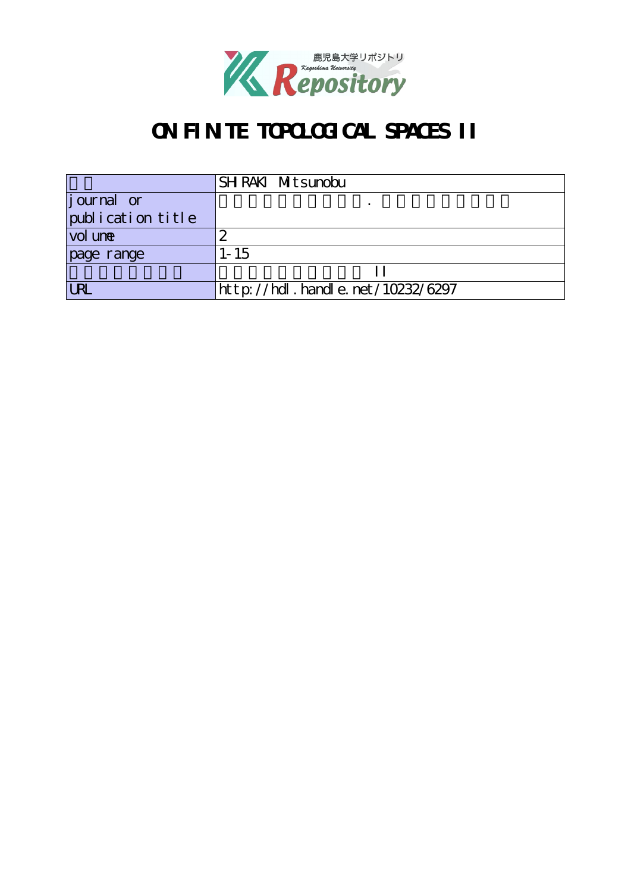

# **ON FINITE TOPOLOGICAL SPACES II**

|                    | SH RAKI Mitsunobu                     |
|--------------------|---------------------------------------|
| <i>j</i> ournal or |                                       |
| publication title  |                                       |
| vol une            |                                       |
| page range         | $1 - 15$                              |
|                    |                                       |
|                    | $http$ ://hdl. handle. net/10232/6297 |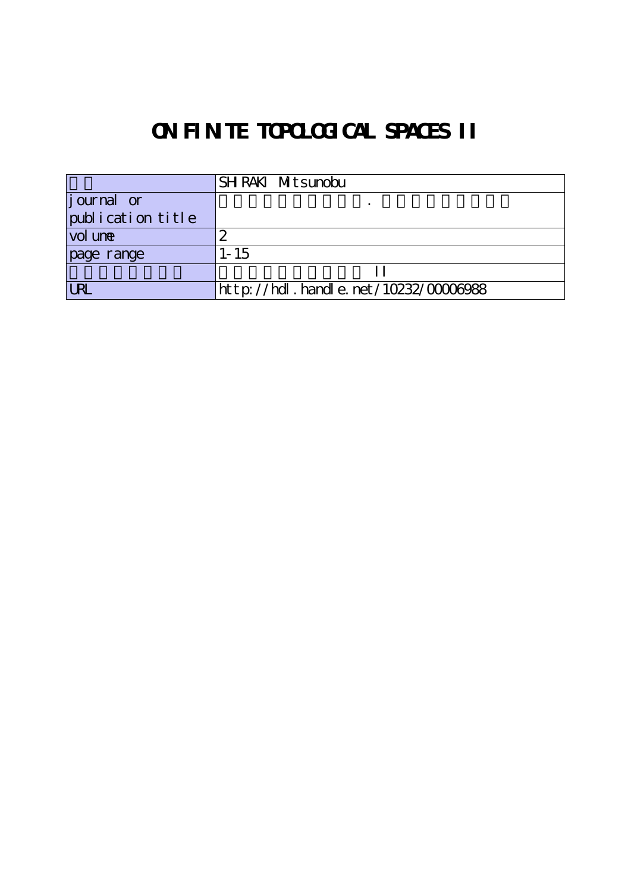# **ON FINITE TOPOLOGICAL SPACES II**

|                    | SHRAKI Mitsunobu                               |
|--------------------|------------------------------------------------|
| <i>j</i> ournal or |                                                |
| publication title  |                                                |
| vol une            |                                                |
| page range         | $1 - 15$                                       |
|                    |                                                |
| <b>LRI</b>         | $ht$ t p: //hdl . handl e. net /10232/00006988 |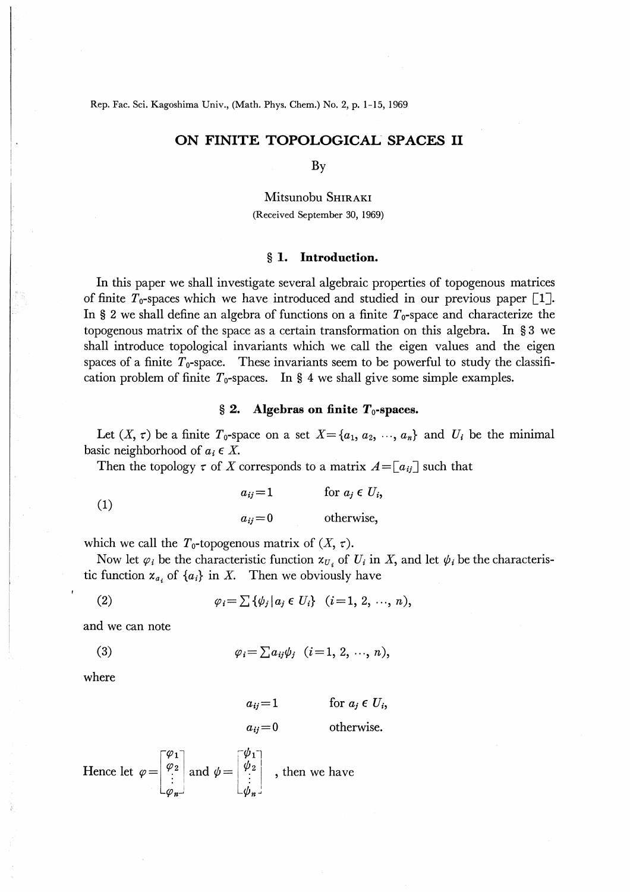# ON FINITE TOPOLOGICAL SPACES II

By

Mitsunobu SHIRAKI (Received September 30, 1969)

### § 1. Introduction.

In this paper we shall investigate several algebraic properties of topogenous matrices of finite  $T_0$ -spaces which we have introduced and studied in our previous paper [1]. In § 2 we shall define an algebra of functions on a finite  $T_0$ -space and characterize the topogenous matrix of the space as a certain transformation on this algebra. In  $\S 3$  we shall introduce topological invariants which we call the eigen values and the eigen spaces of a finite  $T_0$ -space. These invariants seem to be powerful to study the classification problem of finite  $T_0$ -spaces. In § 4 we shall give some simple examples.

### $\S$  2. Algebras on finite  $T_0$ -spaces.

Let  $(X, \tau)$  be a finite  $T_0$ -space on a set  $X = \{a_1, a_2, \dots, a_n\}$  and  $U_i$  be the minimal basic neighborhood of  $a_i \in X$ .

Then the topology  $\tau$  of X corresponds to a matrix  $A = [a_{ij}]$  such that

(1) 
$$
a_{ij} = 1 \qquad \text{for } a_j \in U_i,
$$

$$
a_{ij} = 0 \qquad \text{otherwise,}
$$

which we call the  $T_0$ -topogenous matrix of  $(X, \tau)$ .

Now let  $\varphi_i$  be the characteristic function  $x_{U_i}$  of  $U_i$  in X, and let  $\psi_i$  be the characteristic function  $x_{a_i}$  of  $\{a_i\}$  in X. Then we obviously have

(2) 
$$
\varphi_i = \sum \{ \psi_j | a_j \in U_i \} \quad (i = 1, 2, ..., n),
$$

and we can note

$$
\varphi_i = \sum a_{ij} \psi_j \quad (i=1,\,2,\,\cdots,\,n),
$$

where

$$
a_{ij}=1 \qquad \text{for } a_j \in U_i,
$$

otherwise.  $a_{ii}=0$ 

Hence let 
$$
\varphi = \begin{bmatrix} \varphi_1 \\ \varphi_2 \\ \vdots \\ \varphi_n \end{bmatrix}
$$
 and  $\psi = \begin{bmatrix} \psi_1 \\ \psi_2 \\ \vdots \\ \psi_n \end{bmatrix}$ , then we have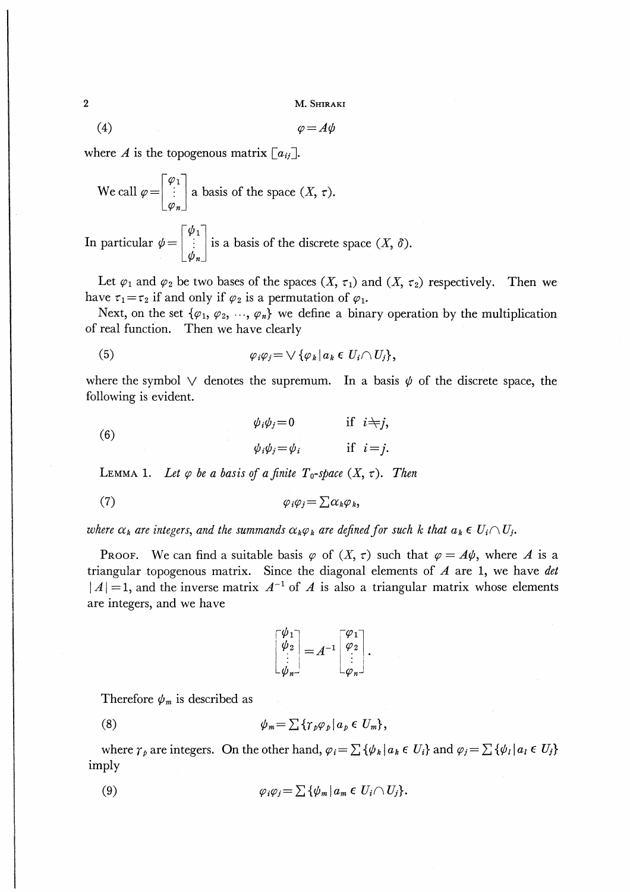M. SHIRAKI

$$
\varphi = A\psi
$$

where A is the topogenous matrix  $[a_{ij}]$ .

We call 
$$
\varphi = \begin{bmatrix} \varphi_1 \\ \vdots \\ \varphi_n \end{bmatrix}
$$
 a basis of the space  $(X, \tau)$ .

In particular  $\psi = \begin{bmatrix} \psi_1 \\ \vdots \\ \psi_n \end{bmatrix}$  is a basis of the discrete space  $(X, \delta)$ .

Let  $\varphi_1$  and  $\varphi_2$  be two bases of the spaces  $(X, \tau_1)$  and  $(X, \tau_2)$  respectively. Then we have  $\tau_1 = \tau_2$  if and only if  $\varphi_2$  is a permutation of  $\varphi_1$ .

Next, on the set  $\{\varphi_1, \varphi_2, ..., \varphi_n\}$  we define a binary operation by the multiplication of real function. Then we have clearly

(5) 
$$
\varphi_i \varphi_j = \bigvee \{ \varphi_k \, | \, a_k \in U_i \cap U_j \},
$$

where the symbol  $\vee$  denotes the supremum. In a basis  $\psi$  of the discrete space, the following is evident.

 $(6)$ 

$$
\varphi_i \varphi_j = 0 \quad \text{if } i = j,
$$
  

$$
\varphi_i \varphi_j = \varphi_i \quad \text{if } i = j.
$$

LEMMA 1. Let  $\varphi$  be a basis of a finite  $T_0$ -space  $(X, \tau)$ . Then

$$
\varphi_i \varphi_j = \sum \alpha_k \varphi_k,
$$

where  $\alpha_k$  are integers, and the summands  $\alpha_k \varphi_k$  are defined for such k that  $a_k \in U_i \cap U_j$ .

**PROOF.** We can find a suitable basis  $\varphi$  of  $(X, \tau)$  such that  $\varphi = A\psi$ , where A is a triangular topogenous matrix. Since the diagonal elements of  $A$  are 1, we have det  $|A|=1$ , and the inverse matrix  $A^{-1}$  of A is also a triangular matrix whose elements are integers, and we have

$$
\begin{bmatrix} \psi_1 \\ \psi_2 \\ \vdots \\ \psi_n \end{bmatrix} = A^{-1} \begin{bmatrix} \varphi_1 \\ \varphi_2 \\ \vdots \\ \varphi_n \end{bmatrix}.
$$

Therefore  $\psi_m$  is described as

$$
\psi_m = \sum \{ \gamma_p \varphi_p \, | \, a_p \in U_m \},
$$

where  $\gamma_p$  are integers. On the other hand,  $\varphi_i = \sum {\{\phi_k | a_k \in U_i\}}$  and  $\varphi_i = \sum {\{\phi_l | a_l \in U_j\}}$ imply

(9) 
$$
\varphi_i \varphi_j = \sum \{ \psi_m | a_m \in U_i \cap U_j \}.
$$

 $\overline{2}$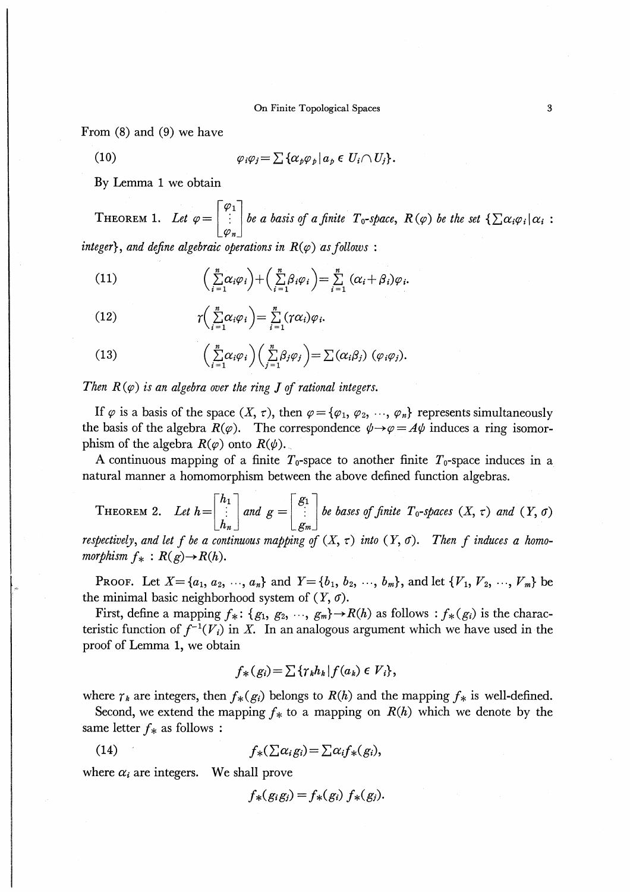From  $(8)$  and  $(9)$  we have

(10) 
$$
\varphi_i \varphi_j = \sum \{ \alpha_p \varphi_p \, | \, a_p \in U_i \cap U_j \}.
$$

By Lemma 1 we obtain

THEOREM 1. Let  $\varphi = \begin{bmatrix} \varphi_1 \\ \vdots \\ \varphi_m \end{bmatrix}$  be a basis of a finite  $T_0$ -space,  $R(\varphi)$  be the set  $\{\sum \alpha_i \varphi_i | \alpha_i :$ integer}, and define algebraic operations in  $R(\varphi)$  as follows:

(11) 
$$
\left(\sum_{i=1}^{n} \alpha_i \varphi_i\right) + \left(\sum_{i=1}^{n} \beta_i \varphi_i\right) = \sum_{i=1}^{n} (\alpha_i + \beta_i) \varphi_i.
$$

(12) 
$$
\gamma\bigg(\sum_{i=1}^n \alpha_i \varphi_i\bigg) = \sum_{i=1}^n (\gamma \alpha_i) \varphi_i.
$$

(13) 
$$
\left(\sum_{i=1}^n \alpha_i \varphi_i\right)\left(\sum_{j=1}^n \beta_j \varphi_j\right) = \sum (\alpha_i \beta_j) \; (\varphi_i \varphi_j).
$$

Then  $R(\varphi)$  is an algebra over the ring J of rational integers.

If  $\varphi$  is a basis of the space  $(X, \tau)$ , then  $\varphi = {\varphi_1, \varphi_2, ..., \varphi_n}$  represents simultaneously the basis of the algebra  $R(\varphi)$ . The correspondence  $\psi \rightarrow \varphi = A\psi$  induces a ring isomorphism of the algebra  $R(\varphi)$  onto  $R(\psi)$ .

A continuous mapping of a finite  $T_0$ -space to another finite  $T_0$ -space induces in a natural manner a homomorphism between the above defined function algebras.

THEOREM 2. Let 
$$
h = \begin{bmatrix} h_1 \\ \vdots \\ h_n \end{bmatrix}
$$
 and  $g = \begin{bmatrix} g_1 \\ \vdots \\ g_m \end{bmatrix}$  be bases of finite  $T_0$ -spaces  $(X, \tau)$  and  $(Y, \sigma)$ 

respectively, and let f be a continuous mapping of  $(X, \tau)$  into  $(Y, \sigma)$ . Then f induces a homomorphism  $f_*: R(g) \rightarrow R(h)$ .

**PROOF.** Let  $X = \{a_1, a_2, ..., a_n\}$  and  $Y = \{b_1, b_2, ..., b_m\}$ , and let  $\{V_1, V_2, ..., V_m\}$  be the minimal basic neighborhood system of  $(Y, \sigma)$ .

First, define a mapping  $f_*$ :  $\{g_1, g_2, \dots, g_m\} \to R(h)$  as follows :  $f_*(g_i)$  is the characteristic function of  $f^{-1}(V_i)$  in X. In an analogous argument which we have used in the proof of Lemma 1, we obtain

$$
f_{*}(g_{i}) = \sum \{ \gamma_{k} h_{k} | f(a_{k}) \in V_{i} \},
$$

where  $\gamma_k$  are integers, then  $f_*(g_i)$  belongs to  $R(h)$  and the mapping  $f_*$  is well-defined.

Second, we extend the mapping  $f_*$  to a mapping on  $R(h)$  which we denote by the same letter  $f_*$  as follows :

(14) 
$$
f_*(\sum \alpha_i g_i) = \sum \alpha_i f_*(g_i),
$$

where  $\alpha_i$  are integers. We shall prove

$$
f_*(g_ig_j) = f_*(g_i) f_*(g_j).
$$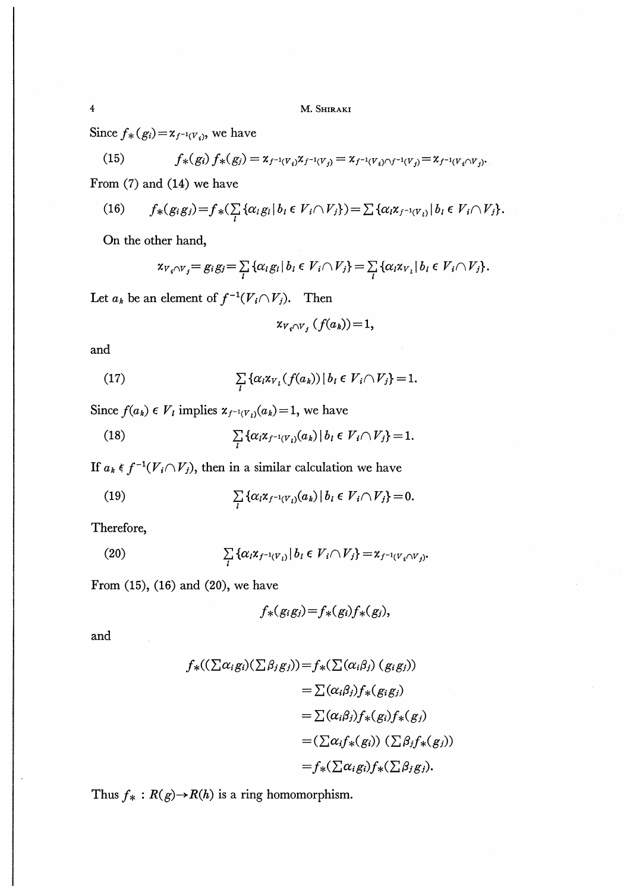Since  $f_*(g_i) = x_{f^{-1}(V_i)}$ , we have

(15) 
$$
f_*(g_i) f_*(g_j) = \chi_{f^{-1}(V_i)} \chi_{f^{-1}(V_j)} = \chi_{f^{-1}(V_i) \cap f^{-1}(V_j)} = \chi_{f^{-1}(V_i \cap V_j)}.
$$

From (7) and (14) we have

(16) 
$$
f_*(g_i g_j) = f_*(\sum_l \{\alpha_l g_l | b_l \in V_i \cap V_j\}) = \sum \{\alpha_l x_{j^{-1}(V_i)} | b_l \in V_i \cap V_j\}.
$$

On the other hand,

$$
\mathbf{x}_{V_i \cap V_j} = g_i g_j = \sum_l \{ \alpha_l g_l \mid b_l \in V_i \cap V_j \} = \sum_l \{ \alpha_l \mathbf{x}_{V_l} \mid b_l \in V_i \cap V_j \}.
$$

Let  $a_k$  be an element of  $f^{-1}(V_i \cap V_j)$ . Then

 $x_{V_i \cap V_j} (f(a_k)) = 1,$ 

and

(17) 
$$
\sum_{l} \{ \alpha_l x_{V_l}(f(a_k)) \mid b_l \in V_i \cap V_j \} = 1.
$$

Since  $f(a_k) \in V_i$  implies  $x_{f^{-1}(V_i)}(a_k)=1$ , we have

(18) 
$$
\sum_{l} \{ \alpha_{l} x_{f^{-1}(V_{l})}(a_{k}) | b_{l} \in V_{i} \cap V_{j} \} = 1.
$$

If  $a_k \in f^{-1}(V_i \cap V_j)$ , then in a similar calculation we have

(19) 
$$
\sum_{l} \{ \alpha_{l} \mathbf{x}_{f^{-1}(V_{l})}(a_{k}) \, | \, b_{l} \in V_{i} \cap V_{j} \} = 0.
$$

Therefore,

(20) 
$$
\sum_{l} \{ \alpha_{l} x_{f^{-1}(V_{l})} | b_{l} \in V_{i} \cap V_{j} \} = x_{f^{-1}(V_{i} \cap V_{j})}.
$$

From (15), (16) and (20), we have

$$
f_*(g_ig_j)=f_*(g_i)f_*(g_j),
$$

and

$$
f_{*}((\sum \alpha_{i}g_{i})(\sum \beta_{j}g_{j})) = f_{*}(\sum (\alpha_{i}\beta_{j}) (g_{i}g_{j}))
$$
  

$$
= \sum (\alpha_{i}\beta_{j})f_{*}(g_{i}g_{j})
$$
  

$$
= \sum (\alpha_{i}\beta_{j})f_{*}(g_{i})f_{*}(g_{j})
$$
  

$$
= (\sum \alpha_{i}f_{*}(g_{i})) (\sum \beta_{j}f_{*}(g_{j}))
$$
  

$$
= f_{*}(\sum \alpha_{i}g_{i})f_{*}(\sum \beta_{j}g_{j}).
$$

Thus  $f_*$ :  $R(g) \rightarrow R(h)$  is a ring homomorphism.

 $\overline{\mathbf{4}}$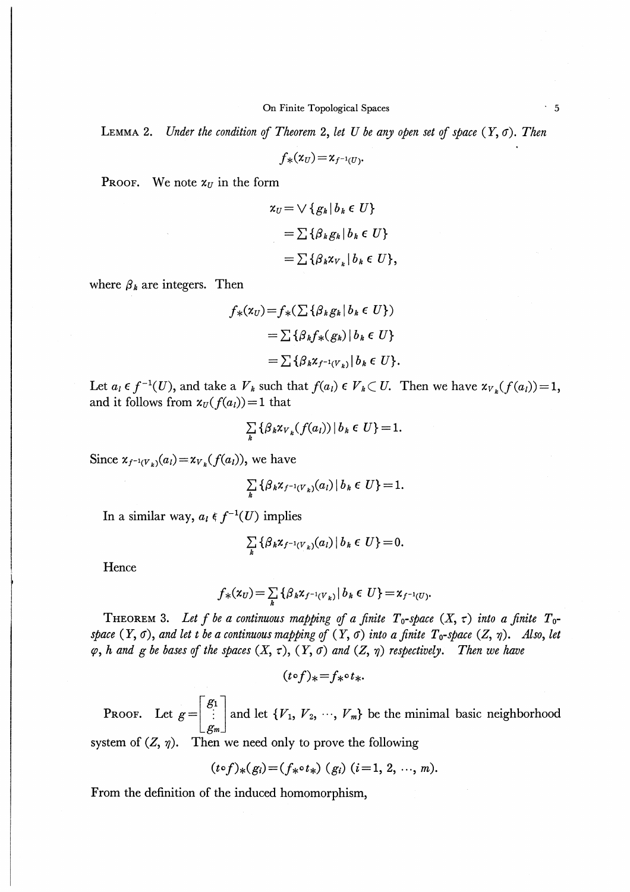LEMMA 2. Under the condition of Theorem 2, let U be any open set of space  $(Y, \sigma)$ . Then

 $f_*(x_U) = x_{f^{-1}(U)}$ 

**PROOF.** We note  $x_U$  in the form

$$
\begin{aligned} \mathbf{x}_U &= \bigvee \{ g_k \, | \, b_k \in U \} \\ &= \sum \{ \beta_k g_k \, | \, b_k \in U \} \\ &= \sum \{ \beta_k \mathbf{x}_{V_k} \, | \, b_k \in U \}, \end{aligned}
$$

where  $\beta_k$  are integers. Then

$$
f_*(\mathbf{x}_U) = f_*(\sum {\{\beta_k g_k | b_k \in U\}})
$$
  
= 
$$
\sum {\{\beta_k f_*(g_k) | b_k \in U\}}
$$
  
= 
$$
\sum {\{\beta_k \mathbf{x}_{f^{-1}(V_*)} | b_k \in U\}}.
$$

Let  $a_i \in f^{-1}(U)$ , and take a  $V_k$  such that  $f(a_i) \in V_k \subset U$ . Then we have  $\chi_{V_k}(f(a_i)) = 1$ , and it follows from  $x_U(f(a_i))=1$  that

$$
\sum_{k} \left\{ \beta_k \chi_{V_k}(f(a_l)) \, | \, b_k \in U \right\} = 1.
$$

Since  $x_{f^{-1}(V_k)}(a_l) = x_{V_k}(f(a_l))$ , we have

$$
\sum_{k} \left\{ \beta_k \chi_{f^{-1}(V_k)}(a_l) \, | \, b_k \in U \right\} = 1.
$$

In a similar way,  $a_i \in f^{-1}(U)$  implies

$$
\sum_{k}\left\{\beta_{k}\chi_{f^{-1}(V_{k})}(a_{l})\,\big|\,b_{k}\in U\right\}=0.
$$

Hence

$$
f_{*}(x_{U}) = \sum_{k} \{ \beta_{k} x_{f^{-1}(V_{k})} | b_{k} \in U \} = x_{f^{-1}(U)}.
$$

THEOREM 3. Let f be a continuous mapping of a finite  $T_0$ -space  $(X, \tau)$  into a finite  $T_0$ space  $(Y, \sigma)$ , and let t be a continuous mapping of  $(Y, \sigma)$  into a finite  $T_0$ -space  $(Z, \eta)$ . Also, let  $\varphi$ , h and g be bases of the spaces  $(X, \tau)$ ,  $(Y, \sigma)$  and  $(Z, \eta)$  respectively. Then we have

 $(t \circ f)_* = f_* \circ t_*$ .

**PROOF.** Let  $g = \begin{bmatrix} g_1 \\ \vdots \\ g_m \end{bmatrix}$  and let  $\{V_1, V_2, \dots, V_m\}$  be the minimal basic neighborhood

system of  $(Z, \eta)$ . Then we need only to prove the following

$$
(t \circ f)_*(g_i) = (f_* \circ t_*) (g_i) (i = 1, 2, ..., m).
$$

From the definition of the induced homomorphism,

 $\cdot$  5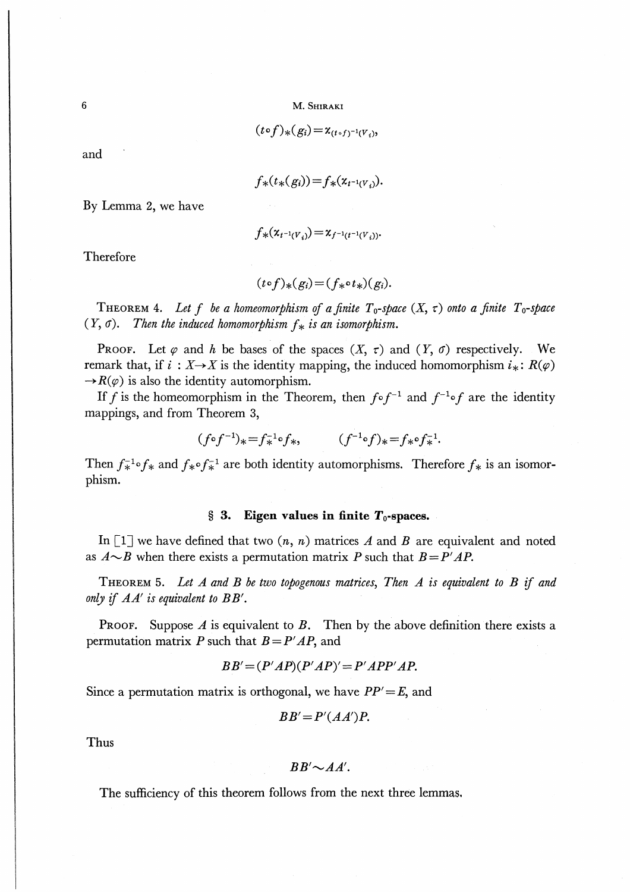$$
(t\circ f)_{*}(g_i)=\chi_{(t\circ f)^{-1}(V_i)},
$$

 $\sim$ 

and

$$
f_*(t_*(g_i)) = f_*(x_{t^{-1}(V_i)}).
$$

By Lemma 2, we have

$$
f_{*}(x_{t^{-1}(V_i)}) = x_{f^{-1}(t^{-1}(V_i))}.
$$

Therefore

$$
(t \circ f)_*(g_i) = (f_* \circ t_*)(g_i).
$$

THEOREM 4. Let f be a homeomorphism of a finite  $T_0$ -space  $(X, \tau)$  onto a finite  $T_0$ -space  $(Y, \sigma)$ . Then the induced homomorphism  $f_*$  is an isomorphism.

**PROOF.** Let  $\varphi$  and h be bases of the spaces  $(X, \tau)$  and  $(Y, \sigma)$  respectively.  $\mathbf{W}\mathbf{e}$ remark that, if  $i : X \rightarrow X$  is the identity mapping, the induced homomorphism  $i_* : R(\varphi)$  $\rightarrow R(\varphi)$  is also the identity automorphism.

If f is the homeomorphism in the Theorem, then  $f \circ f^{-1}$  and  $f^{-1} \circ f$  are the identity mappings, and from Theorem 3,

$$
(f \circ f^{-1})_* = f_*^{-1} \circ f_*,
$$
  $(f^{-1} \circ f)_* = f_* \circ f_*^{-1}.$ 

Then  $f_*^{-1} \circ f_*$  and  $f_* \circ f_*^{-1}$  are both identity automorphisms. Therefore  $f_*$  is an isomorphism.

#### Eigen values in finite  $T_0$ -spaces.  $\S$  3.

In [1] we have defined that two  $(n, n)$  matrices A and B are equivalent and noted as  $A \sim B$  when there exists a permutation matrix P such that  $B = P'AP$ .

THEOREM 5. Let  $A$  and  $B$  be two topogenous matrices, Then  $A$  is equivalent to  $B$  if and only if  $AA'$  is equivalent to  $BB'.$ 

**PROOF.** Suppose A is equivalent to B. Then by the above definition there exists a permutation matrix P such that  $B = P'AP$ , and

$$
BB' = (P'AP)(P'AP)' = P'APP'AP.
$$

Since a permutation matrix is orthogonal, we have  $PP' = E$ , and

$$
BB'=P'(AA')P.
$$

Thus

$$
BB'\!\sim\!AA'.
$$

The sufficiency of this theorem follows from the next three lemmas.

 $6\phantom{1}6$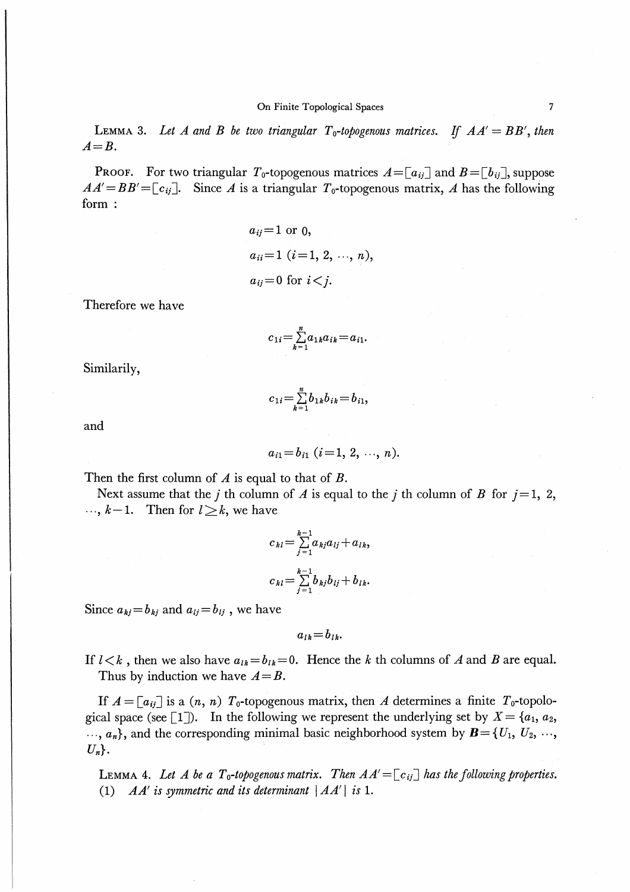LEMMA 3. Let A and B be two triangular  $T_0$ -topogenous matrices. If  $AA' = BB'$ , then  $A=B$ .

**PROOF.** For two triangular  $T_0$ -topogenous matrices  $A = [a_{ij}]$  and  $B = [b_{ij}]$ , suppose  $AA' = BB' = [c_{ij}]$ . Since A is a triangular  $T_0$ -topogenous matrix, A has the following form:

$$
a_{ij}=1
$$
 or 0,  
\n $a_{ii}=1$  (*i*=1, 2, ..., *n*),  
\n $a_{ij}=0$  for  $i < j$ .

Therefore we have

$$
c_{1i} = \sum_{k=1}^n a_{1k} a_{ik} = a_{i1}.
$$

Similarily,

$$
c_{1i} = \sum_{k=1}^{n} b_{1k} b_{ik} = b_{i1},
$$

and

$$
a_{i1}=b_{i1}
$$
  $(i=1, 2, ..., n)$ .

Then the first column of  $\Lambda$  is equal to that of  $B$ .

Next assume that the *j* th column of *A* is equal to the *j* th column of *B* for  $j=1, 2$ ,  $k-1$ . Then for  $l \geq k$ , we have

$$
c_{kl} = \sum_{j=1}^{k-1} a_{kj} a_{lj} + a_{lk},
$$
  

$$
c_{kl} = \sum_{j=1}^{k-1} b_{kj} b_{lj} + b_{lk}.
$$

Since  $a_{ki}=b_{ki}$  and  $a_{ij}=b_{ij}$ , we have

 $a_{ik}=b_{ik}$ 

If  $l < k$ , then we also have  $a_{lk} = b_{lk} = 0$ . Hence the k th columns of A and B are equal. Thus by induction we have  $A=B$ .

If  $A = [a_{ij}]$  is a  $(n, n)$   $T_0$ -topogenous matrix, then A determines a finite  $T_0$ -topological space (see [1]). In the following we represent the underlying set by  $X = \{a_1, a_2,$  $..., a_n$ , and the corresponding minimal basic neighborhood system by  $\mathbf{B} = \{U_1, U_2, ..., U_n\}$  $U_n$ .

LEMMA 4. Let A be a  $T_0$ -topogenous matrix. Then  $AA'=[c_{ij}]$  has the following properties. (1)  $AA'$  is symmetric and its determinant  $|AA'|$  is 1.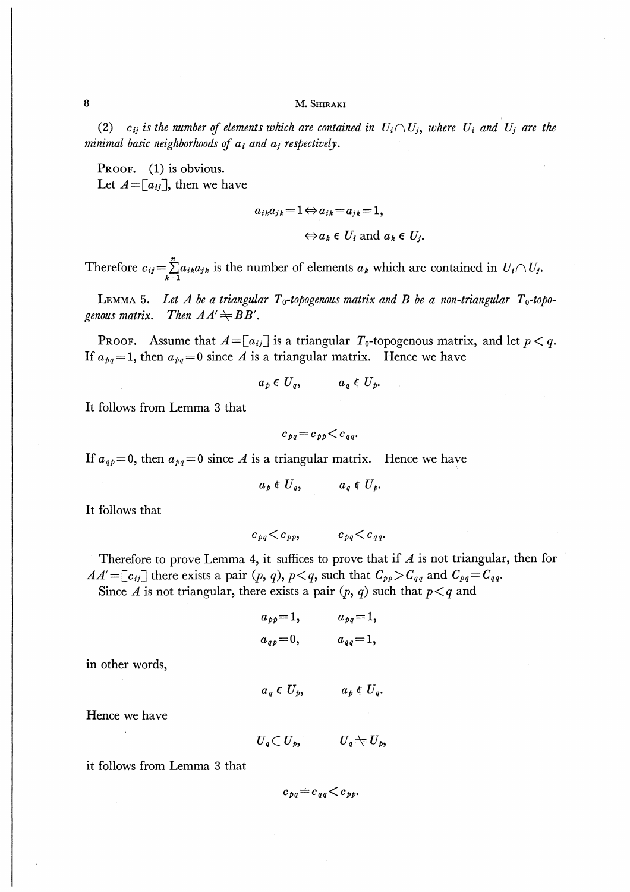#### M. SHIRAKI

(2)  $c_{ij}$  is the number of elements which are contained in  $U_i \cap U_j$ , where  $U_i$  and  $U_j$  are the minimal basic neighborhoods of  $a_i$  and  $a_j$  respectively.

PROOF. (1) is obvious. Let  $A = [a_{ij}]$ , then we have

$$
a_{ik}a_{jk} = 1 \Leftrightarrow a_{ik} = a_{jk} = 1,
$$
  

$$
\Leftrightarrow a_k \in U_i \text{ and } a_k \in U_j.
$$

Therefore  $c_{ij} = \sum_{k=1}^{n} a_{ik} a_{jk}$  is the number of elements  $a_k$  which are contained in  $U_i \cap U_j$ .

LEMMA 5. Let A be a triangular  $T_0$ -topogenous matrix and B be a non-triangular  $T_0$ -topogenous matrix. Then  $AA' \rightleftharpoons BB'$ .

**PROOF.** Assume that  $A = [a_{ij}]$  is a triangular  $T_0$ -topogenous matrix, and let  $p < q$ . If  $a_{pq}=1$ , then  $a_{pq}=0$  since A is a triangular matrix. Hence we have

$$
a_p \in U_q, \qquad a_q \in U_p.
$$

It follows from Lemma 3 that

$$
c_{pq}=c_{pp}\lt c_{qq}.
$$

If  $a_{q0} = 0$ , then  $a_{pq} = 0$  since A is a triangular matrix. Hence we have

$$
a_p \in U_q, \qquad a_q \in U_p.
$$

It follows that

$$
c_{pq} < c_{pp}, \qquad c_{pq} < c_{qq}.
$$

Therefore to prove Lemma 4, it suffices to prove that if  $A$  is not triangular, then for  $AA' = [c_{ij}]$  there exists a pair  $(p, q)$ ,  $p < q$ , such that  $C_{pp} > C_{qq}$  and  $C_{pq} = C_{qq}$ .

Since A is not triangular, there exists a pair  $(p, q)$  such that  $p < q$  and

$$
a_{pp}=1,
$$
  $a_{pq}=1,$   
\n $a_{qp}=0,$   $a_{qq}=1,$ 

in other words,

$$
a_q \in U_p, \qquad a_p \in U_q.
$$

Hence we have

$$
U_{\scriptscriptstyle a} \subset U_{\scriptscriptstyle b}, \qquad U_{\scriptscriptstyle a} \neq U_{\scriptscriptstyle b},
$$

it follows from Lemma 3 that

 $c_{ba} = c_{aa} \lt c_{bb}$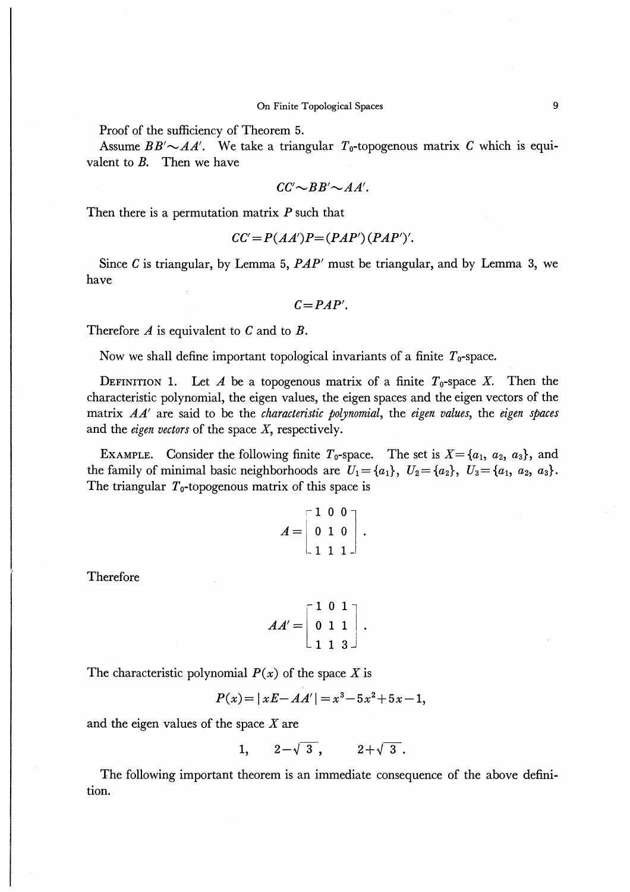Proof of the sufficiency of Theorem 5.

Assume  $BB' \sim AA'$ . We take a triangular  $T_0$ -topogenous matrix C which is equivalent to  $B$ . Then we have

$$
CC'\!\sim\!BB'\!\sim\!AA'.
$$

Then there is a permutation matrix  $P$  such that

$$
CC'=P(AA')P=(PAP')(PAP')'.
$$

Since C is triangular, by Lemma 5,  $PAP'$  must be triangular, and by Lemma 3, we have

 $C= PAP'$ .

Therefore  $\Lambda$  is equivalent to  $C$  and to  $B$ .

Now we shall define important topological invariants of a finite  $T_0$ -space.

DEFINITION 1. Let A be a topogenous matrix of a finite  $T_0$ -space X. Then the characteristic polynomial, the eigen values, the eigen spaces and the eigen vectors of the matrix  $AA'$  are said to be the *characteristic polynomial*, the *eigen values*, the *eigen spaces* and the *eigen vectors* of the space  $X$ , respectively.

EXAMPLE. Consider the following finite  $T_0$ -space. The set is  $X = \{a_1, a_2, a_3\}$ , and the family of minimal basic neighborhoods are  $U_1 = \{a_1\}$ ,  $U_2 = \{a_2\}$ ,  $U_3 = \{a_1, a_2, a_3\}$ . The triangular  $T_0$ -topogenous matrix of this space is

$$
A = \begin{bmatrix} 1 & 0 & 0 \\ 0 & 1 & 0 \\ 1 & 1 & 1 \end{bmatrix}.
$$

Therefore

$$
AA' = \begin{bmatrix} 1 & 0 & 1 \\ 0 & 1 & 1 \\ 1 & 1 & 3 \end{bmatrix}.
$$

The characteristic polynomial  $P(x)$  of the space X is

$$
P(x) = |xE - AA'| = x^3 - 5x^2 + 5x - 1,
$$

and the eigen values of the space X are

$$
1, \qquad 2-\sqrt{3}, \qquad 2+\sqrt{3}.
$$

The following important theorem is an immediate consequence of the above definition.

 $\overline{9}$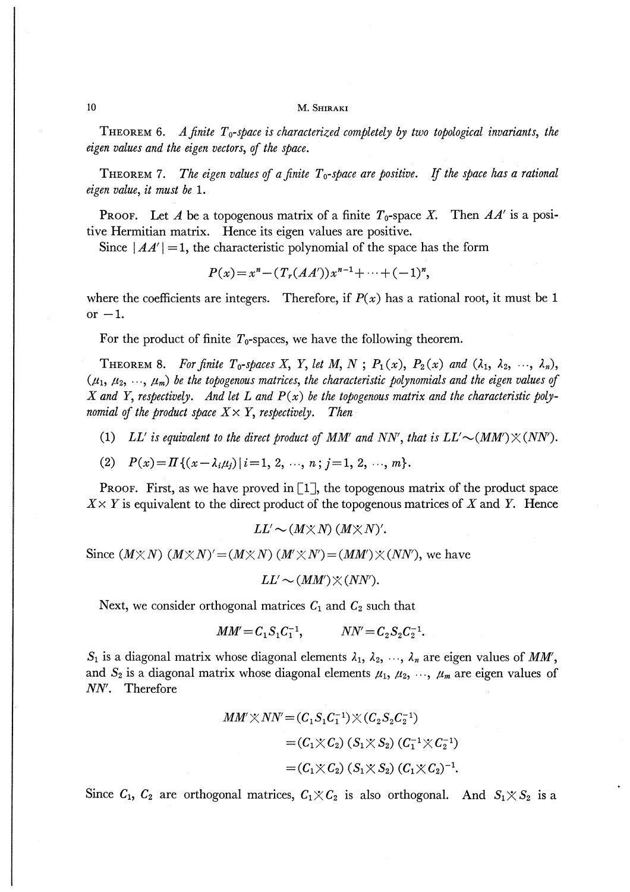#### M. SHIRAKI

**THEOREM 6.** A finite  $T_0$ -space is characterized completely by two topological invariants, the eigen values and the eigen vectors, of the space.

THEOREM 7. The eigen values of a finite  $T_0$ -space are positive. If the space has a rational eigen value, it must be 1.

**PROOF.** Let A be a topogenous matrix of a finite  $T_0$ -space X. Then  $AA'$  is a positive Hermitian matrix. Hence its eigen values are positive.

Since  $|AA'|=1$ , the characteristic polynomial of the space has the form

 $P(x) = x^{n} - (T_{r}(AA'))x^{n-1} + \cdots + (-1)^{n},$ 

where the coefficients are integers. Therefore, if  $P(x)$  has a rational root, it must be 1 or  $-1$ .

For the product of finite  $T_0$ -spaces, we have the following theorem.

**THEOREM 8.** For finite  $T_0$ -spaces X, Y, let M, N;  $P_1(x)$ ,  $P_2(x)$  and  $(\lambda_1, \lambda_2, \dots, \lambda_n)$ ,  $(\mu_1, \mu_2, \ldots, \mu_m)$  be the topogenous matrices, the characteristic polynomials and the eigen values of X and Y, respectively. And let L and  $P(x)$  be the topogenous matrix and the characteristic polynomial of the product space  $X \times Y$ , respectively. Then

 $(1)$ LL' is equivalent to the direct product of MM' and NN', that is  $LL' \sim (MM') \times (NN')$ .

 $P(x) = \prod \{ (x - \lambda_i \mu_i) | i = 1, 2, \dots, n; j = 1, 2, \dots, m \}.$  $(2)$ 

**PROOF.** First, as we have proved in  $\begin{bmatrix} 1 \end{bmatrix}$ , the topogenous matrix of the product space  $X \times Y$  is equivalent to the direct product of the topogenous matrices of X and Y. Hence

 $LL' \sim (M \times N) (M \times N)'$ .

Since  $(M \times N)$   $(M \times N)' = (M \times N)$   $(M' \times N') = (MM') \times (NN')$ , we have

 $LL' \sim (MM') \times (NN')$ .

Next, we consider orthogonal matrices  $C_1$  and  $C_2$  such that

$$
MM' = C_1 S_1 C_1^{-1}, \qquad NN' = C_2 S_2 C_2^{-1}.
$$

 $S_1$  is a diagonal matrix whose diagonal elements  $\lambda_1, \lambda_2, \dots, \lambda_n$  are eigen values of MM', and  $S_2$  is a diagonal matrix whose diagonal elements  $\mu_1, \mu_2, \dots, \mu_m$  are eigen values of NN'. Therefore

$$
MM' \times NN' = (C_1 S_1 C_1^{-1}) \times (C_2 S_2 C_2^{-1})
$$
  
=  $(C_1 \times C_2) (S_1 \times S_2) (C_1^{-1} \times C_2^{-1})$   
=  $(C_1 \times C_2) (S_1 \times S_2) (C_1 \times C_2)^{-1}$ .

Since  $C_1$ ,  $C_2$  are orthogonal matrices,  $C_1 \times C_2$  is also orthogonal. And  $S_1 \times S_2$  is a

10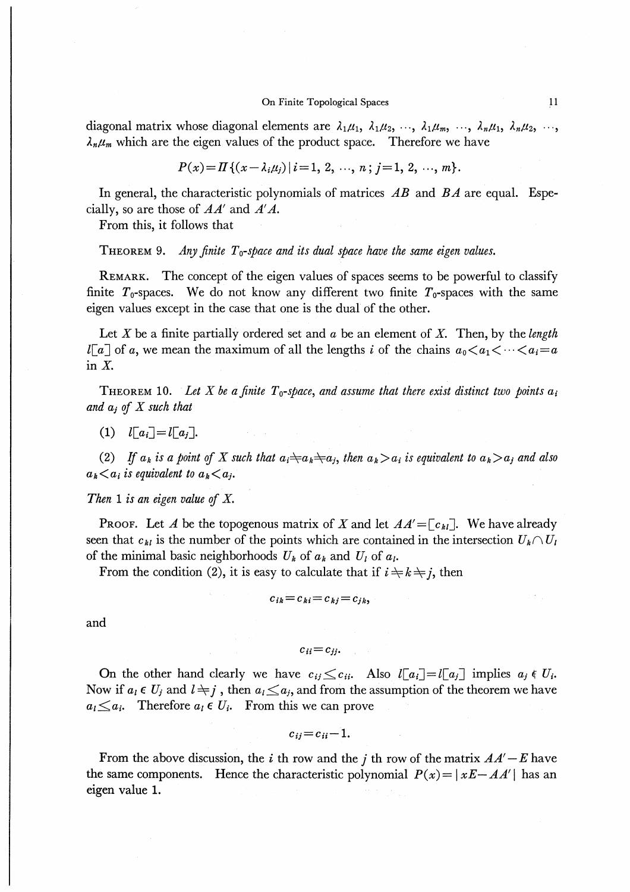diagonal matrix whose diagonal elements are  $\lambda_1\mu_1$ ,  $\lambda_1\mu_2$ , ...,  $\lambda_1\mu_m$ , ...,  $\lambda_n\mu_1$ ,  $\lambda_n\mu_2$ , ...,  $\lambda_n \mu_m$  which are the eigen values of the product space. Therefore we have

$$
P(x) = \prod \{ (x - \lambda_i \mu_j) | i = 1, 2, \ldots, n; j = 1, 2, \ldots, m \}.
$$

In general, the characteristic polynomials of matrices  $AB$  and  $BA$  are equal. Especially, so are those of  $AA'$  and  $A'A$ .

From this, it follows that

**THEOREM 9.** Any finite  $T_0$ -space and its dual space have the same eigen values.

REMARK. The concept of the eigen values of spaces seems to be powerful to classify finite  $T_0$ -spaces. We do not know any different two finite  $T_0$ -spaces with the same eigen values except in the case that one is the dual of the other.

Let X be a finite partially ordered set and  $a$  be an element of X. Then, by the length  $l[a]$  of a, we mean the maximum of all the lengths i of the chains  $a_0 < a_1 < \cdots < a_i = a$ in  $X$ .

**THEOREM** 10. Let X be a finite  $T_0$ -space, and assume that there exist distinct two points  $a_i$ and  $a_i$  of X such that

(1)  $l\lceil a_i \rceil = l\lceil a_i \rceil$ .

(2) If  $a_k$  is a point of X such that  $a_i \neq a_k \neq a_j$ , then  $a_k > a_i$  is equivalent to  $a_k > a_j$  and also  $a_k \leq a_i$  is equivalent to  $a_k \leq a_j$ .

Then 1 is an eigen value of  $X$ .

**PROOF.** Let A be the topogenous matrix of X and let  $AA' = [c_{kl}]$ . We have already seen that  $c_{kl}$  is the number of the points which are contained in the intersection  $U_k \cap U_l$ of the minimal basic neighborhoods  $U_k$  of  $a_k$  and  $U_l$  of  $a_l$ .

From the condition (2), it is easy to calculate that if  $i \neq k \neq j$ , then

$$
c_{ik}=c_{ki}=c_{ki}=c_{jk},
$$

and

 $c_{ii}=c_{jj}.$ 

On the other hand clearly we have  $c_{ij} \leq c_{ii}$ . Also  $l[a_i] = l[a_j]$  implies  $a_j \in U_i$ . Now if  $a_i \in U_j$  and  $l \neq j$ , then  $a_i \leq a_j$ , and from the assumption of the theorem we have  $a_l \leq a_i$ . Therefore  $a_l \in U_i$ . From this we can prove

$$
c_{ij}=c_{ii}-1.
$$

From the above discussion, the i th row and the j th row of the matrix  $AA' - E$  have the same components. Hence the characteristic polynomial  $P(x) = |xE - AA'|$  has an eigen value 1.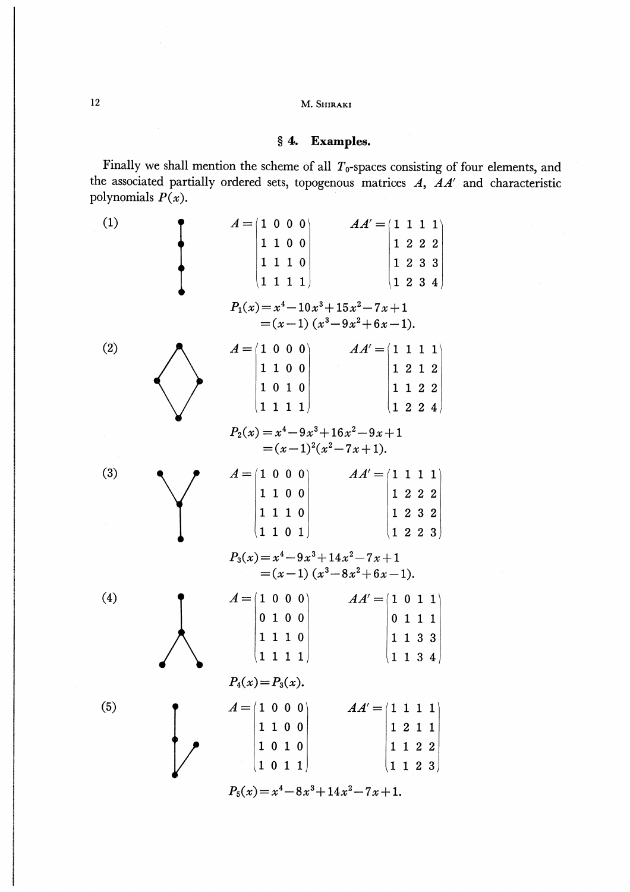12 M. Shiraki

### § 4. Examples.

Finally we shall mention the scheme of all  $T_0$ -spaces consisting of four elements, and the associated partially ordered sets, topogenous matrices  $A$ ,  $AA'$  and characteristic polynomials  $P(x)$ .

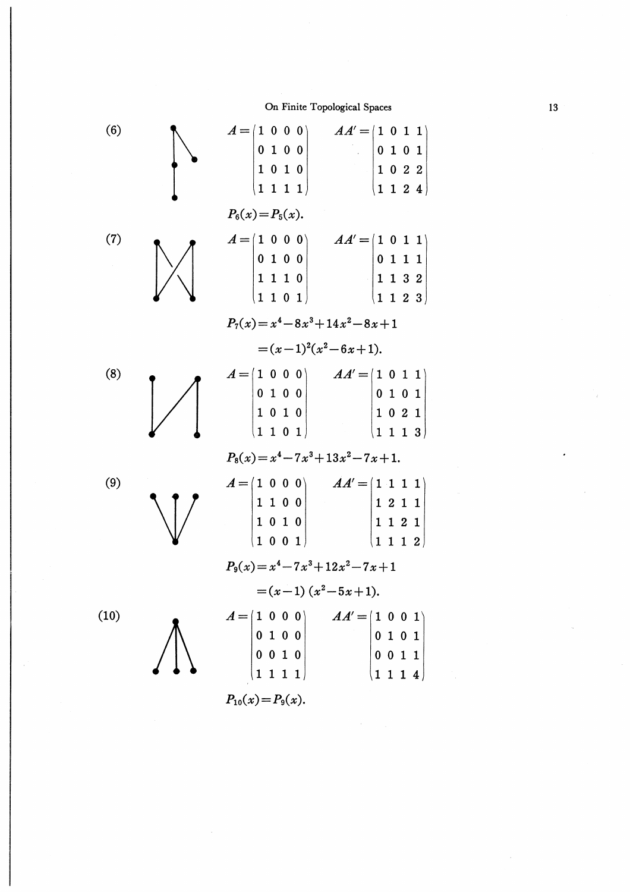

13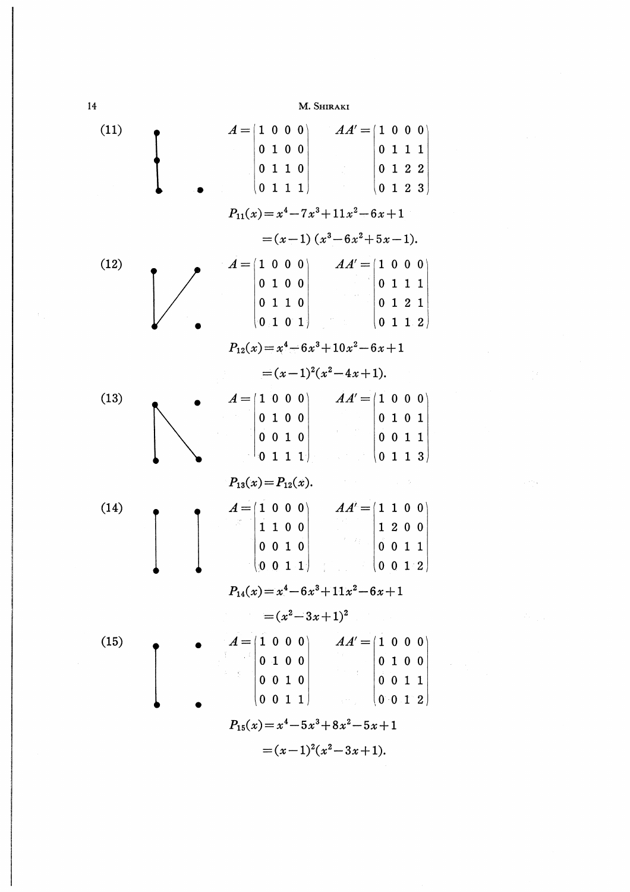14 M. Shiraki

 $A = \begin{pmatrix} 1 & 0 & 0 & 0 \end{pmatrix}$  $AA' = | 1 \ 0 \ 0 \ 0 |$  $(11)$ 0 1 0 0 0 1 1 1 0 1 1 0 0 1 2 2  $\begin{pmatrix} 0 & 1 & 1 & 1 \end{pmatrix}$  $\begin{bmatrix} 0 & 1 & 2 & 3 \end{bmatrix}$  $P_{11}(x)=x^4-7x^3+11x^2-6x+1$  $=(x-1)(x^3-6x^2+5x-1).$  $\vec{A} = |1 \ 0 \ 0 \ 0|$   $A A' = |1 \ 0 \ 0 \ 0$  $(12)$ 0 1 0 0 0 1 1 1 0 1 2 1 0 1 1 0  $\begin{pmatrix} 0 & 1 & 0 & 1 \end{pmatrix}$  $|0\;1\;1\;2|$  $P_{12}(x)=x^4-6x^3+10x^2-6x+1$  $=(x-1)^2(x^2-4x+1).$  $A = \begin{pmatrix} 1 & 0 & 0 & 0 \end{pmatrix}$   $A A' = \begin{pmatrix} 1 & 0 & 0 & 0 \end{pmatrix}$  $(13)$ 0 1 0 0 0 1 0 1  $0 0 1 0$  $|0 \t0 1 1$  $\begin{bmatrix} 0 & 1 & 1 & 1 \end{bmatrix}$  $\begin{array}{|c|c|c|c|c|c|c|c|c|} \hline \rule{0pt}{1.6ex} & \rule{0pt}{1.6ex} & \rule{0pt}{1.6ex} & \rule{0pt}{1.6ex} & \rule{0pt}{1.6ex} & \rule{0pt}{1.6ex} & \rule{0pt}{1.6ex} & \rule{0pt}{1.6ex} & \rule{0pt}{1.6ex} & \rule{0pt}{1.6ex} & \rule{0pt}{1.6ex} & \rule{0pt}{1.6ex} & \rule{0pt}{1.6ex} & \rule{0pt}{1.6ex} & \rule{0pt}{1.6ex} & \rule{0pt}{1.6ex} &$  $P_{13}(x) = P_{12}(x)$ .  $A = \begin{pmatrix} 1 & 0 & 0 & 0 \end{pmatrix}$   $AA' = \begin{pmatrix} 1 & 1 & 0 & 0 \end{pmatrix}$ (14)  $\begin{vmatrix} 1 & 1 & 0 & 0 \end{vmatrix}$ 1 2 0 0 0 0 1 1 0 0 1 0 0 0 1 1  $P_{14}(x)=x^4-6x^3+11x^2-6x+1$  $=(x^2-3x+1)^2$  $A = (1 \ 0 \ 0 \ 0)$   $AA' = (1 \ 0 \ 0 \ 0)$ (15) 0 1 0 0 0 1 0 0  $\mathbb{E}^{\mathbb{P}^1} \times \mathbb{E}^{\mathbb{P}^1}$ 0 0 1 0 0 0 1 1  $\begin{pmatrix} 0 & 0 & 1 & 1 \end{pmatrix}$  $|0 \ 0 \ 1 \ 2|$  $P_{15}(x)=x^4-5x^3+8x^2-5x+1$  $=(x-1)^2(x^2-3x+1).$ 

 $\frac{1}{2}$  ,  $\frac{1}{2}$  ,  $\frac{1}{2}$